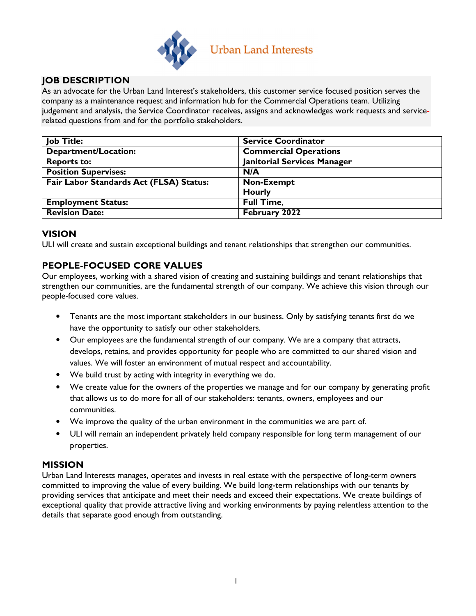

# JOB DESCRIPTION

As an advocate for the Urban Land Interest's stakeholders, this customer service focused position serves the company as a maintenance request and information hub for the Commercial Operations team. Utilizing judgement and analysis, the Service Coordinator receives, assigns and acknowledges work requests and servicerelated questions from and for the portfolio stakeholders.

| <b>Job Title:</b>                       | <b>Service Coordinator</b>         |
|-----------------------------------------|------------------------------------|
| <b>Department/Location:</b>             | <b>Commercial Operations</b>       |
| <b>Reports to:</b>                      | <b>Janitorial Services Manager</b> |
| <b>Position Supervises:</b>             | N/A                                |
| Fair Labor Standards Act (FLSA) Status: | <b>Non-Exempt</b>                  |
|                                         | <b>Hourly</b>                      |
| <b>Employment Status:</b>               | <b>Full Time,</b>                  |
| <b>Revision Date:</b>                   | February 2022                      |

# VISION

ULI will create and sustain exceptional buildings and tenant relationships that strengthen our communities.

## PEOPLE-FOCUSED CORE VALUES

Our employees, working with a shared vision of creating and sustaining buildings and tenant relationships that strengthen our communities, are the fundamental strength of our company. We achieve this vision through our people-focused core values.

- Tenants are the most important stakeholders in our business. Only by satisfying tenants first do we have the opportunity to satisfy our other stakeholders.
- Our employees are the fundamental strength of our company. We are a company that attracts, develops, retains, and provides opportunity for people who are committed to our shared vision and values. We will foster an environment of mutual respect and accountability.
- We build trust by acting with integrity in everything we do.
- We create value for the owners of the properties we manage and for our company by generating profit that allows us to do more for all of our stakeholders: tenants, owners, employees and our communities.
- We improve the quality of the urban environment in the communities we are part of.
- ULI will remain an independent privately held company responsible for long term management of our properties.

## MISSION

Urban Land Interests manages, operates and invests in real estate with the perspective of long-term owners committed to improving the value of every building. We build long-term relationships with our tenants by providing services that anticipate and meet their needs and exceed their expectations. We create buildings of exceptional quality that provide attractive living and working environments by paying relentless attention to the details that separate good enough from outstanding.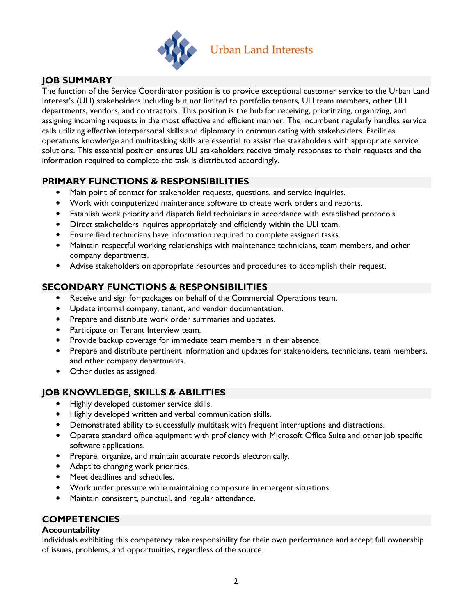

# JOB SUMMARY

The function of the Service Coordinator position is to provide exceptional customer service to the Urban Land Interest's (ULI) stakeholders including but not limited to portfolio tenants, ULI team members, other ULI departments, vendors, and contractors. This position is the hub for receiving, prioritizing, organizing, and assigning incoming requests in the most effective and efficient manner. The incumbent regularly handles service calls utilizing effective interpersonal skills and diplomacy in communicating with stakeholders. Facilities operations knowledge and multitasking skills are essential to assist the stakeholders with appropriate service solutions. This essential position ensures ULI stakeholders receive timely responses to their requests and the information required to complete the task is distributed accordingly.

# PRIMARY FUNCTIONS & RESPONSIBILITIES

- Main point of contact for stakeholder requests, questions, and service inquiries.
- Work with computerized maintenance software to create work orders and reports.
- Establish work priority and dispatch field technicians in accordance with established protocols.
- Direct stakeholders inquires appropriately and efficiently within the ULI team.
- Ensure field technicians have information required to complete assigned tasks.
- Maintain respectful working relationships with maintenance technicians, team members, and other company departments.
- Advise stakeholders on appropriate resources and procedures to accomplish their request.

# SECONDARY FUNCTIONS & RESPONSIBILITIES

- Receive and sign for packages on behalf of the Commercial Operations team.
- Update internal company, tenant, and vendor documentation.
- Prepare and distribute work order summaries and updates.
- Participate on Tenant Interview team.
- Provide backup coverage for immediate team members in their absence.
- Prepare and distribute pertinent information and updates for stakeholders, technicians, team members, and other company departments.
- Other duties as assigned.

## JOB KNOWLEDGE, SKILLS & ABILITIES

- Highly developed customer service skills.
- Highly developed written and verbal communication skills.
- Demonstrated ability to successfully multitask with frequent interruptions and distractions.
- Operate standard office equipment with proficiency with Microsoft Office Suite and other job specific software applications.
- Prepare, organize, and maintain accurate records electronically.
- Adapt to changing work priorities.
- Meet deadlines and schedules.
- Work under pressure while maintaining composure in emergent situations.
- Maintain consistent, punctual, and regular attendance.

## **COMPETENCIES**

### **Accountability**

Individuals exhibiting this competency take responsibility for their own performance and accept full ownership of issues, problems, and opportunities, regardless of the source.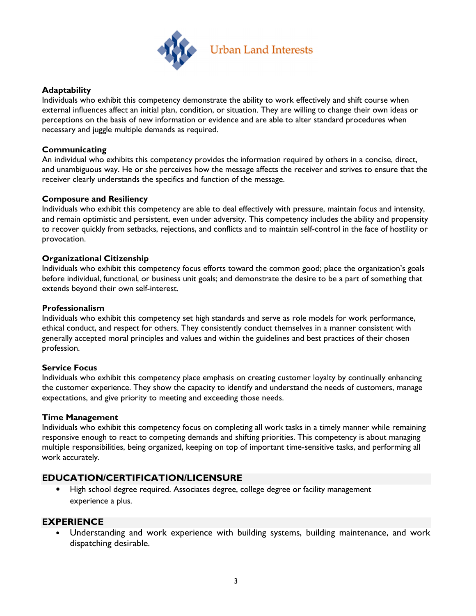

### **Adaptability**

Individuals who exhibit this competency demonstrate the ability to work effectively and shift course when external influences affect an initial plan, condition, or situation. They are willing to change their own ideas or perceptions on the basis of new information or evidence and are able to alter standard procedures when necessary and juggle multiple demands as required.

#### **Communicating**

An individual who exhibits this competency provides the information required by others in a concise, direct, and unambiguous way. He or she perceives how the message affects the receiver and strives to ensure that the receiver clearly understands the specifics and function of the message.

#### Composure and Resiliency

Individuals who exhibit this competency are able to deal effectively with pressure, maintain focus and intensity, and remain optimistic and persistent, even under adversity. This competency includes the ability and propensity to recover quickly from setbacks, rejections, and conflicts and to maintain self-control in the face of hostility or provocation.

#### Organizational Citizenship

Individuals who exhibit this competency focus efforts toward the common good; place the organization's goals before individual, functional, or business unit goals; and demonstrate the desire to be a part of something that extends beyond their own self-interest.

#### Professionalism

Individuals who exhibit this competency set high standards and serve as role models for work performance, ethical conduct, and respect for others. They consistently conduct themselves in a manner consistent with generally accepted moral principles and values and within the guidelines and best practices of their chosen profession.

#### Service Focus

Individuals who exhibit this competency place emphasis on creating customer loyalty by continually enhancing the customer experience. They show the capacity to identify and understand the needs of customers, manage expectations, and give priority to meeting and exceeding those needs.

#### Time Management

Individuals who exhibit this competency focus on completing all work tasks in a timely manner while remaining responsive enough to react to competing demands and shifting priorities. This competency is about managing multiple responsibilities, being organized, keeping on top of important time-sensitive tasks, and performing all work accurately.

# EDUCATION/CERTIFICATION/LICENSURE

• High school degree required. Associates degree, college degree or facility management experience a plus.

### **EXPERIENCE**

• Understanding and work experience with building systems, building maintenance, and work dispatching desirable.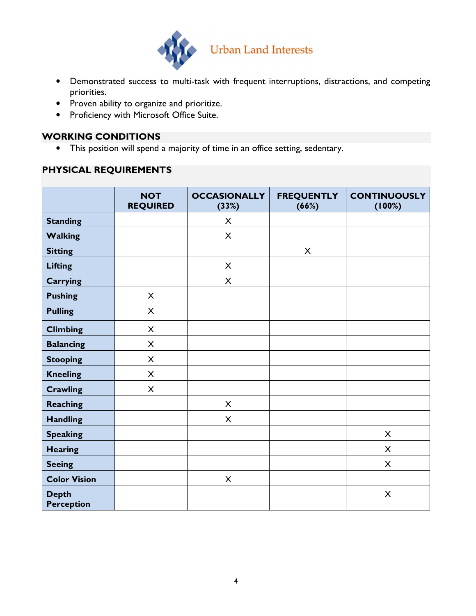

- Demonstrated success to multi-task with frequent interruptions, distractions, and competing priorities.
- Proven ability to organize and prioritize.
- Proficiency with Microsoft Office Suite.

### WORKING CONDITIONS

• This position will spend a majority of time in an office setting, sedentary.

# PHYSICAL REQUIREMENTS

|                                   | <b>NOT</b><br><b>REQUIRED</b> | <b>OCCASIONALLY</b><br>(33%) | <b>FREQUENTLY</b><br>(66%) | <b>CONTINUOUSLY</b><br>(100%) |
|-----------------------------------|-------------------------------|------------------------------|----------------------------|-------------------------------|
| <b>Standing</b>                   |                               | X                            |                            |                               |
| <b>Walking</b>                    |                               | $\mathsf{X}$                 |                            |                               |
| <b>Sitting</b>                    |                               |                              | $\mathsf{X}$               |                               |
| <b>Lifting</b>                    |                               | X                            |                            |                               |
| <b>Carrying</b>                   |                               | $\pmb{\times}$               |                            |                               |
| <b>Pushing</b>                    | $\mathsf{X}$                  |                              |                            |                               |
| <b>Pulling</b>                    | $\mathsf{X}$                  |                              |                            |                               |
| <b>Climbing</b>                   | $\mathsf{X}$                  |                              |                            |                               |
| <b>Balancing</b>                  | $\mathsf{X}$                  |                              |                            |                               |
| <b>Stooping</b>                   | X                             |                              |                            |                               |
| <b>Kneeling</b>                   | X                             |                              |                            |                               |
| <b>Crawling</b>                   | X                             |                              |                            |                               |
| <b>Reaching</b>                   |                               | X                            |                            |                               |
| <b>Handling</b>                   |                               | $\pmb{\times}$               |                            |                               |
| <b>Speaking</b>                   |                               |                              |                            | X                             |
| <b>Hearing</b>                    |                               |                              |                            | X                             |
| <b>Seeing</b>                     |                               |                              |                            | X                             |
| <b>Color Vision</b>               |                               | $\pmb{\times}$               |                            |                               |
| <b>Depth</b><br><b>Perception</b> |                               |                              |                            | $\pmb{\times}$                |